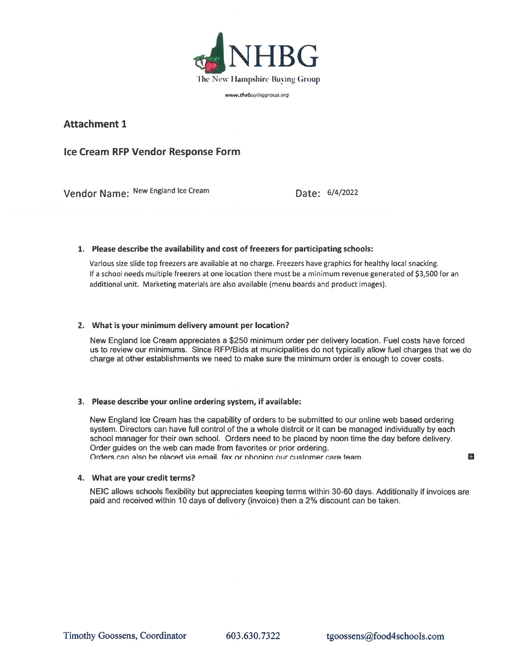

www.thebuyinggroup.org

## **Attachment 1**

# Ice Cream RFP Vendor Response Form

Vendor Name: New England Ice Cream

Date: 6/4/2022

## 1. Please describe the availability and cost of freezers for participating schools:

Various size slide top freezers are available at no charge. Freezers have graphics for healthy local snacking. If a school needs multiple freezers at one location there must be a minimum revenue generated of \$3,500 for an additional unit. Marketing materials are also available (menu boards and product images).

#### 2. What is your minimum delivery amount per location?

New England Ice Cream appreciates a \$250 minimum order per delivery location. Fuel costs have forced us to review our minimums. Since RFP/Bids at municipalities do not typically allow fuel charges that we do charge at other establishments we need to make sure the minimum order is enough to cover costs.

## 3. Please describe your online ordering system, if available:

New England Ice Cream has the capability of orders to be submitted to our online web based ordering system. Directors can have full control of the a whole distrcit or it can be managed individually by each school manager for their own school. Orders need to be placed by noon time the day before delivery. Order quides on the web can made from favorites or prior ordering. Orders can also be placed via email, fax or phoning our customer care team.

### 4. What are your credit terms?

NEIC allows schools flexibility but appreciates keeping terms within 30-60 days. Additionally if invoices are paid and received within 10 days of delivery (invoice) then a 2% discount can be taken.

E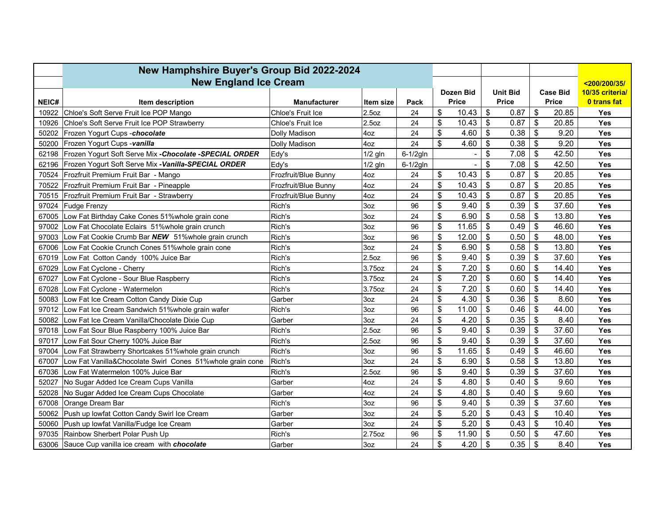|       | New Hamphshire Buyer's Group Bid 2022-2024                |                      |                   |          |                |              |                           |                 |                                 |       |                    |
|-------|-----------------------------------------------------------|----------------------|-------------------|----------|----------------|--------------|---------------------------|-----------------|---------------------------------|-------|--------------------|
|       | <b>New England Ice Cream</b>                              |                      |                   |          |                |              |                           |                 |                                 |       | <200/200/35/       |
|       |                                                           |                      |                   |          |                | Dozen Bid    |                           | <b>Unit Bid</b> | <b>Case Bid</b><br><b>Price</b> |       | 10/35 criterial    |
| NEIC# | Item description                                          | <b>Manufacturer</b>  | Item size         | Pack     |                | <b>Price</b> |                           | <b>Price</b>    |                                 |       | <b>0 trans fat</b> |
| 10922 | Chloe's Soft Serve Fruit Ice POP Mango                    | Chloe's Fruit Ice    | 2.5 <sub>oz</sub> | 24       | \$             | 10.43        | $\boldsymbol{\mathsf{S}}$ | 0.87            | \$                              | 20.85 | <b>Yes</b>         |
| 10926 | Chloe's Soft Serve Fruit Ice POP Strawberry               | Chloe's Fruit Ice    | 2.5 <sub>oz</sub> | 24       | \$             | 10.43        | $\mathfrak{S}$            | 0.87            | \$                              | 20.85 | <b>Yes</b>         |
| 50202 | Frozen Yogurt Cups - chocolate                            | Dolly Madison        | 4oz               | 24       | \$             | 4.60         | \$                        | 0.38            | \$                              | 9.20  | Yes                |
| 50200 | Frozen Yogurt Cups -vanilla                               | Dolly Madison        | 4oz               | 24       | $\mathfrak{S}$ | 4.60         | \$                        | 0.38            | \$                              | 9.20  | Yes                |
| 62198 | Frozen Yogurt Soft Serve Mix - Chocolate - SPECIAL ORDER  | Edy's                | $1/2$ gln         | 6-1/2gln |                |              | \$                        | 7.08            | \$                              | 42.50 | <b>Yes</b>         |
| 62196 | Frozen Yogurt Soft Serve Mix - Vanilla-SPECIAL ORDER      | Edy's                | $1/2$ gln         | 6-1/2gln |                |              | \$                        | 7.08            | \$                              | 42.50 | Yes                |
| 70524 | Frozfruit Premium Fruit Bar - Mango                       | Frozfruit/Blue Bunny | 4oz               | 24       | \$             | 10.43        | $\boldsymbol{\mathsf{S}}$ | 0.87            | $\boldsymbol{\mathsf{S}}$       | 20.85 | Yes                |
| 70522 | Frozfruit Premium Fruit Bar - Pineapple                   | Frozfruit/Blue Bunny | 4oz               | 24       | \$             | 10.43        | \$                        | 0.87            | \$                              | 20.85 | Yes                |
| 70515 | Frozfruit Premium Fruit Bar - Strawberry                  | Frozfruit/Blue Bunny | 4oz               | 24       | \$             | 10.43        | \$                        | 0.87            | \$                              | 20.85 | Yes                |
| 97024 | Fudge Frenzy                                              | Rich's               | 3oz               | 96       | \$             | 9.40         | $\boldsymbol{\mathsf{S}}$ | 0.39            | \$                              | 37.60 | Yes                |
| 67005 | Low Fat Birthday Cake Cones 51% whole grain cone          | Rich's               | 3oz               | 24       | $\mathfrak{S}$ | 6.90         | \$                        | 0.58            | \$                              | 13.80 | Yes                |
| 97002 | Low Fat Chocolate Eclairs 51% whole grain crunch          | Rich's               | 3oz               | 96       | \$             | 11.65        | $\boldsymbol{\mathsf{S}}$ | 0.49            | $\$\$                           | 46.60 | Yes                |
| 97003 | Low Fat Cookie Crumb Bar NEW 51%whole grain crunch        | Rich's               | 3oz               | 96       | \$             | 12.00        | $\boldsymbol{\mathsf{S}}$ | 0.50            | \$                              | 48.00 | Yes                |
| 67006 | Low Fat Cookie Crunch Cones 51% whole grain cone          | Rich's               | 3oz               | 24       | \$             | 6.90         | $\boldsymbol{\mathsf{S}}$ | 0.58            | \$                              | 13.80 | Yes                |
|       | 67019 Low Fat Cotton Candy 100% Juice Bar                 | Rich's               | 2.5 <sub>oz</sub> | 96       | \$             | 9.40         | $\boldsymbol{\mathsf{S}}$ | 0.39            | \$                              | 37.60 | <b>Yes</b>         |
| 67029 | Low Fat Cyclone - Cherry                                  | Rich's               | 3.75oz            | 24       | \$             | 7.20         | \$                        | 0.60            | \$                              | 14.40 | Yes                |
| 67027 | Low Fat Cyclone - Sour Blue Raspberry                     | Rich's               | 3.75oz            | 24       | \$             | 7.20         | \$                        | 0.60            | \$                              | 14.40 | <b>Yes</b>         |
| 67028 | Low Fat Cyclone - Watermelon                              | Rich's               | 3.75oz            | 24       | \$             | 7.20         | \$                        | 0.60            | $\boldsymbol{\mathsf{S}}$       | 14.40 | <b>Yes</b>         |
| 50083 | Low Fat Ice Cream Cotton Candy Dixie Cup                  | Garber               | 3oz               | 24       | \$             | 4.30         | \$                        | 0.36            | \$                              | 8.60  | <b>Yes</b>         |
| 97012 | Low Fat Ice Cream Sandwich 51% whole grain wafer          | Rich's               | 3oz               | 96       | \$             | 11.00        | \$                        | 0.46            | $\mathsf{\$}$                   | 44.00 | Yes                |
| 50082 | Low Fat Ice Cream Vanilla/Chocolate Dixie Cup             | Garber               | 3oz               | 24       | \$             | 4.20         | \$                        | 0.35            | \$                              | 8.40  | Yes                |
| 97018 | Low Fat Sour Blue Raspberry 100% Juice Bar                | Rich's               | 2.5 <sub>oz</sub> | 96       | \$             | 9.40         | \$                        | 0.39            | \$                              | 37.60 | <b>Yes</b>         |
| 97017 | Low Fat Sour Cherry 100% Juice Bar                        | Rich's               | 2.5 <sub>oz</sub> | 96       | \$             | 9.40         | \$                        | 0.39            | \$                              | 37.60 | <b>Yes</b>         |
| 97004 | Low Fat Strawberry Shortcakes 51% whole grain crunch      | Rich's               | 3oz               | 96       | \$             | 11.65        | \$                        | 0.49            | \$                              | 46.60 | Yes                |
| 67007 | Low Fat Vanilla&Chocolate Swirl Cones 51%whole grain cone | Rich's               | 3oz               | 24       | \$             | 6.90         | \$                        | 0.58            | \$                              | 13.80 | <b>Yes</b>         |
| 67036 | Low Fat Watermelon 100% Juice Bar                         | Rich's               | 2.5 <sub>oz</sub> | 96       | \$             | 9.40         | \$                        | 0.39            | \$                              | 37.60 | Yes                |
| 52027 | No Sugar Added Ice Cream Cups Vanilla                     | Garber               | 4oz               | 24       | \$             | 4.80         | \$                        | 0.40            | \$                              | 9.60  | <b>Yes</b>         |
| 52028 | No Sugar Added Ice Cream Cups Chocolate                   | Garber               | 4oz               | 24       | \$             | 4.80         | \$                        | 0.40            | \$                              | 9.60  | <b>Yes</b>         |
| 67008 | Orange Dream Bar                                          | Rich's               | 3oz               | 96       | \$             | 9.40         | \$                        | 0.39            | \$                              | 37.60 | <b>Yes</b>         |
| 50062 | Push up lowfat Cotton Candy Swirl Ice Cream               | Garber               | 3oz               | 24       | \$             | 5.20         | \$                        | 0.43            | \$                              | 10.40 | <b>Yes</b>         |
| 50060 | Push up lowfat Vanilla/Fudge Ice Cream                    | Garber               | 3oz               | 24       | \$             | 5.20         | \$                        | 0.43            | \$                              | 10.40 | Yes                |
| 97035 | Rainbow Sherbert Polar Push Up                            | Rich's               | 2.75oz            | 96       | \$             | 11.90        | \$                        | 0.50            | \$                              | 47.60 | Yes                |
| 63006 | Sauce Cup vanilla ice cream with <b>chocolate</b>         | Garber               | 3oz               | 24       | \$             | 4.20         | \$                        | 0.35            | $\boldsymbol{\mathsf{S}}$       | 8.40  | <b>Yes</b>         |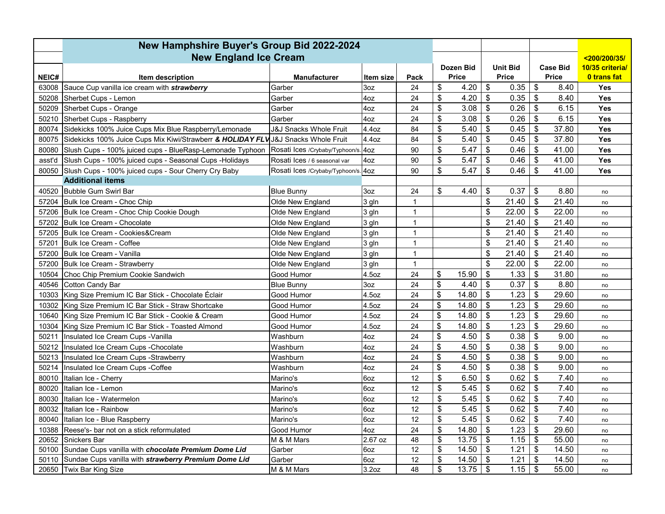|        | New Hamphshire Buyer's Group Bid 2022-2024                 |                                     |                   |              |                           |       |                            |       |                           |       |                    |
|--------|------------------------------------------------------------|-------------------------------------|-------------------|--------------|---------------------------|-------|----------------------------|-------|---------------------------|-------|--------------------|
|        | <b>New England Ice Cream</b>                               |                                     |                   |              |                           |       |                            |       |                           |       | <200/200/35/       |
|        |                                                            |                                     |                   | Dozen Bid    |                           |       | <b>Unit Bid</b>            |       | <b>Case Bid</b>           |       | 10/35 criterial    |
| NEIC#  | Item description                                           | <b>Manufacturer</b>                 | Item size         | Pack         | <b>Price</b>              |       | <b>Price</b>               |       | <b>Price</b>              |       | <b>0 trans fat</b> |
| 63008  | Sauce Cup vanilla ice cream with <b>strawberry</b>         | Garber                              | 3oz               | 24           | \$                        | 4.20  | \$                         | 0.35  | \$                        | 8.40  | <b>Yes</b>         |
| 50208  | Sherbet Cups - Lemon                                       | Garber                              | 4oz               | 24           | \$                        | 4.20  | \$                         | 0.35  | $\boldsymbol{\mathsf{S}}$ | 8.40  | Yes                |
| 50209  | Sherbet Cups - Orange                                      | Garber                              | 4oz               | 24           | \$                        | 3.08  | \$                         | 0.26  | $\mathsf{\$}$             | 6.15  | Yes                |
| 50210  | Sherbet Cups - Raspberry                                   | Garber                              | 4oz               | 24           | \$                        | 3.08  | \$                         | 0.26  | $\boldsymbol{\mathsf{S}}$ | 6.15  | Yes                |
| 80074  | Sidekicks 100% Juice Cups Mix Blue Raspberry/Lemonade      | <b>J&amp;J Snacks Whole Fruit</b>   | 4.4oz             | 84           | \$                        | 5.40  | \$                         | 0.45  | \$                        | 37.80 | Yes                |
| 80075  | Sidekicks 100% Juice Cups Mix Kiwi/Strawberr & HOLIDAY FLV | J&J Snacks Whole Fruit              | 4.4oz             | 84           | \$                        | 5.40  | \$                         | 0.45  | \$                        | 37.80 | Yes                |
| 80080  | Slush Cups - 100% juiced cups - BlueRasp-Lemonade Typhoon  | Rosati Ices /Crybaby/Typhoon/s. 4oz |                   | 90           | \$                        | 5.47  | \$                         | 0.46  | \$                        | 41.00 | Yes                |
| asst'd | Slush Cups - 100% juiced cups - Seasonal Cups - Holidays   | Rosati Ices / 6 seasonal var        | 4oz               | 90           | \$                        | 5.47  | \$                         | 0.46  | \$                        | 41.00 | Yes                |
|        | 80050 Slush Cups - 100% juiced cups - Sour Cherry Cry Baby | Rosati Ices /Crybaby/Typhoon/s. 4oz |                   | 90           | \$                        | 5.47  | \$                         | 0.46  | $\boldsymbol{\mathsf{S}}$ | 41.00 | Yes                |
|        | <b>Additional items</b>                                    |                                     |                   |              |                           |       |                            |       |                           |       |                    |
| 40520  | Bubble Gum Swirl Bar                                       | <b>Blue Bunny</b>                   | 3oz               | 24           | \$                        | 4.40  | \$                         | 0.37  | \$                        | 8.80  | no                 |
| 57204  | Bulk Ice Cream - Choc Chip                                 | Olde New England                    | $3$ gln           | $\mathbf{1}$ |                           |       | \$                         | 21.40 | \$                        | 21.40 | no                 |
| 57206  | Bulk Ice Cream - Choc Chip Cookie Dough                    | Olde New England                    | 3 gln             | $\mathbf{1}$ |                           |       | $\mathfrak s$              | 22.00 | $\boldsymbol{\mathsf{S}}$ | 22.00 | no                 |
| 57202  | Bulk Ice Cream - Chocolate                                 | Olde New England                    | 3 gln             | $\mathbf{1}$ |                           |       | \$                         | 21.40 | $\boldsymbol{\mathsf{S}}$ | 21.40 | no                 |
| 57205  | Bulk Ice Cream - Cookies&Cream                             | Olde New England                    | 3 gln             | $\mathbf{1}$ |                           |       | \$                         | 21.40 | $\boldsymbol{\mathsf{S}}$ | 21.40 | no                 |
| 57201  | Bulk Ice Cream - Coffee                                    | Olde New England                    | 3 gln             | $\mathbf{1}$ |                           |       | \$                         | 21.40 | \$                        | 21.40 | no                 |
| 57200  | Bulk Ice Cream - Vanilla                                   | Olde New England                    | 3 gln             | $\mathbf{1}$ |                           |       | $\sqrt{\frac{2}{3}}$       | 21.40 | \$                        | 21.40 | no                 |
| 57200  | <b>Bulk Ice Cream - Strawberry</b>                         | Olde New England                    | 3 gln             | $\mathbf{1}$ |                           |       | \$                         | 22.00 | \$                        | 22.00 | no                 |
| 10504  | Choc Chip Premium Cookie Sandwich                          | Good Humor                          | 4.5oz             | 24           | \$                        | 15.90 | \$                         | 1.33  | \$                        | 31.80 | no                 |
| 40546  | Cotton Candy Bar                                           | <b>Blue Bunny</b>                   | 3oz               | 24           | \$                        | 4.40  | \$                         | 0.37  | $\mathfrak{s}$            | 8.80  | no                 |
| 10303  | King Size Premium IC Bar Stick - Chocolate Éclair          | Good Humor                          | 4.5oz             | 24           | \$                        | 14.80 | \$                         | 1.23  | \$                        | 29.60 | no                 |
| 10302  | King Size Premium IC Bar Stick - Straw Shortcake           | Good Humor                          | 4.5oz             | 24           | \$                        | 14.80 | $\boldsymbol{\mathsf{\$}}$ | 1.23  | \$                        | 29.60 | no                 |
| 10640  | King Size Premium IC Bar Stick - Cookie & Cream            | Good Humor                          | 4.5oz             | 24           | \$                        | 14.80 | \$                         | 1.23  | $\boldsymbol{\mathsf{S}}$ | 29.60 | no                 |
| 10304  | King Size Premium IC Bar Stick - Toasted Almond            | Good Humor                          | 4.5oz             | 24           | \$                        | 14.80 | \$                         | 1.23  | \$                        | 29.60 | no                 |
| 50211  | Insulated Ice Cream Cups - Vanilla                         | Washburn                            | 4oz               | 24           | \$                        | 4.50  | $\mathfrak s$              | 0.38  | $\mathfrak{s}$            | 9.00  | no                 |
| 50212  | Insulated Ice Cream Cups - Chocolate                       | Washburn                            | 4oz               | 24           | \$                        | 4.50  | \$                         | 0.38  | \$                        | 9.00  | no                 |
| 50213  | Insulated Ice Cream Cups - Strawberry                      | Washburn                            | 4oz               | 24           | \$                        | 4.50  | \$                         | 0.38  | \$                        | 9.00  | no                 |
| 50214  | Insulated Ice Cream Cups - Coffee                          | Washburn                            | 4oz               | 24           | \$                        | 4.50  | \$                         | 0.38  | \$                        | 9.00  | no                 |
| 80010  | Italian Ice - Cherry                                       | Marino's                            | 6oz               | 12           | \$                        | 6.50  | \$                         | 0.62  | $\boldsymbol{\mathsf{S}}$ | 7.40  | no                 |
| 80020  | Italian Ice - Lemon                                        | Marino's                            | 6oz               | 12           | \$                        | 5.45  | \$                         | 0.62  | $\boldsymbol{\mathsf{S}}$ | 7.40  | no                 |
| 80030  | Italian Ice - Watermelon                                   | Marino's                            | 6oz               | 12           | \$                        | 5.45  | \$                         | 0.62  | $\boldsymbol{\mathsf{S}}$ | 7.40  | no                 |
| 80032  | Italian Ice - Rainbow                                      | Marino's                            | 6oz               | 12           | \$                        | 5.45  | \$                         | 0.62  | \$                        | 7.40  | no                 |
| 80040  | Italian Ice - Blue Raspberry                               | Marino's                            | 6oz               | 12           | $\boldsymbol{\mathsf{S}}$ | 5.45  | \$                         | 0.62  | $\boldsymbol{\mathsf{S}}$ | 7.40  | no                 |
| 10388  | Reese's- bar not on a stick reformulated                   | Good Humor                          | 4oz               | 24           | \$                        | 14.80 | \$                         | 1.23  | \$                        | 29.60 | no                 |
| 20652  | <b>Snickers Bar</b>                                        | M & M Mars                          | 2.67 oz           | 48           | \$                        | 13.75 | \$                         | 1.15  | $\boldsymbol{\mathsf{S}}$ | 55.00 | no                 |
| 50100  | Sundae Cups vanilla with chocolate Premium Dome Lid        | Garber                              | 6oz               | 12           | \$                        | 14.50 | \$                         | 1.21  | \$                        | 14.50 | no                 |
| 50110  | Sundae Cups vanilla with strawberry Premium Dome Lid       | Garber                              | 6oz               | 12           | \$                        | 14.50 | \$                         | 1.21  | $\boldsymbol{\mathsf{S}}$ | 14.50 | no                 |
|        | 20650 Twix Bar King Size                                   | M & M Mars                          | 3.2 <sub>oz</sub> | 48           | \$                        | 13.75 | \$                         | 1.15  | \$                        | 55.00 | no                 |